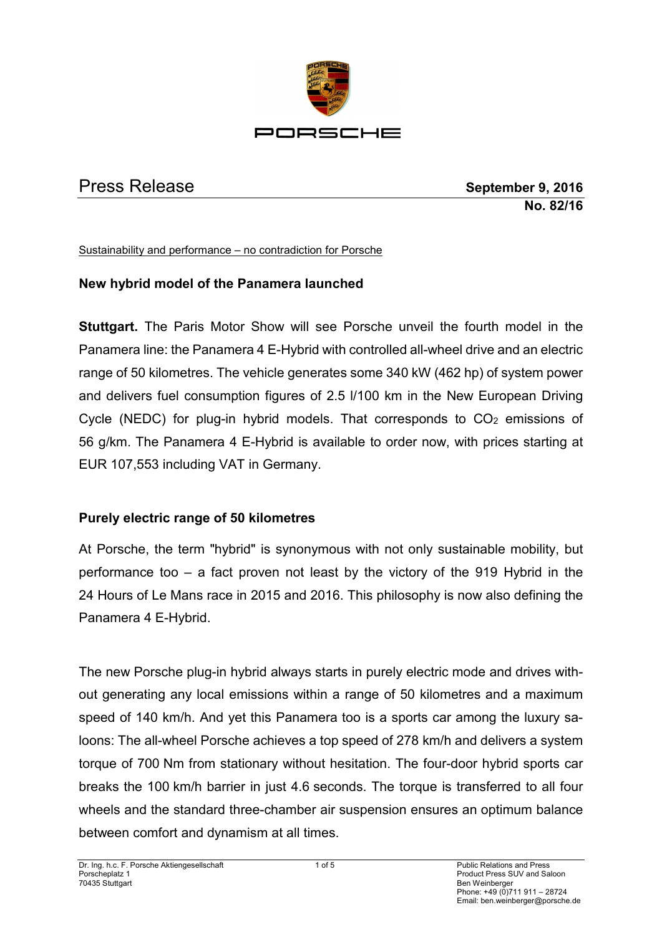

# Press Release **September 9, 2016**

**No. 82/16**

Sustainability and performance – no contradiction for Porsche

## **New hybrid model of the Panamera launched**

**Stuttgart.** The Paris Motor Show will see Porsche unveil the fourth model in the Panamera line: the Panamera 4 E-Hybrid with controlled all-wheel drive and an electric range of 50 kilometres. The vehicle generates some 340 kW (462 hp) of system power and delivers fuel consumption figures of 2.5 l/100 km in the New European Driving Cycle (NEDC) for plug-in hybrid models. That corresponds to  $CO<sub>2</sub>$  emissions of 56 g/km. The Panamera 4 E-Hybrid is available to order now, with prices starting at EUR 107,553 including VAT in Germany.

## **Purely electric range of 50 kilometres**

At Porsche, the term "hybrid" is synonymous with not only sustainable mobility, but performance too – a fact proven not least by the victory of the 919 Hybrid in the 24 Hours of Le Mans race in 2015 and 2016. This philosophy is now also defining the Panamera 4 E-Hybrid.

The new Porsche plug-in hybrid always starts in purely electric mode and drives without generating any local emissions within a range of 50 kilometres and a maximum speed of 140 km/h. And yet this Panamera too is a sports car among the luxury saloons: The all-wheel Porsche achieves a top speed of 278 km/h and delivers a system torque of 700 Nm from stationary without hesitation. The four-door hybrid sports car breaks the 100 km/h barrier in just 4.6 seconds. The torque is transferred to all four wheels and the standard three-chamber air suspension ensures an optimum balance between comfort and dynamism at all times.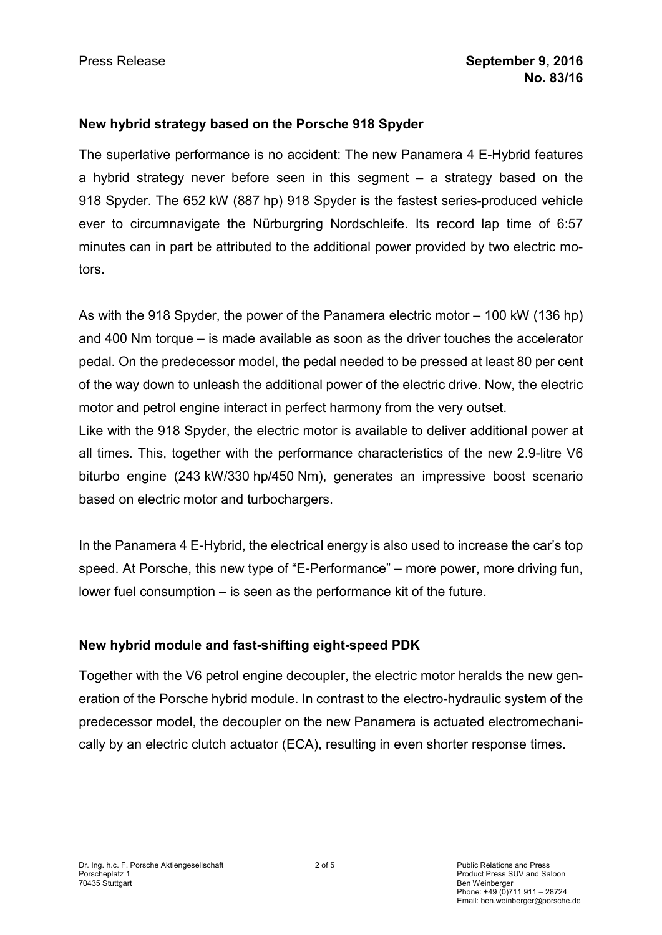#### **New hybrid strategy based on the Porsche 918 Spyder**

The superlative performance is no accident: The new Panamera 4 E-Hybrid features a hybrid strategy never before seen in this segment – a strategy based on the 918 Spyder. The 652 kW (887 hp) 918 Spyder is the fastest series-produced vehicle ever to circumnavigate the Nürburgring Nordschleife. Its record lap time of 6:57 minutes can in part be attributed to the additional power provided by two electric motors.

As with the 918 Spyder, the power of the Panamera electric motor – 100 kW (136 hp) and 400 Nm torque – is made available as soon as the driver touches the accelerator pedal. On the predecessor model, the pedal needed to be pressed at least 80 per cent of the way down to unleash the additional power of the electric drive. Now, the electric motor and petrol engine interact in perfect harmony from the very outset.

Like with the 918 Spyder, the electric motor is available to deliver additional power at all times. This, together with the performance characteristics of the new 2.9-litre V6 biturbo engine (243 kW/330 hp/450 Nm), generates an impressive boost scenario based on electric motor and turbochargers.

In the Panamera 4 E-Hybrid, the electrical energy is also used to increase the car's top speed. At Porsche, this new type of "E-Performance" – more power, more driving fun, lower fuel consumption – is seen as the performance kit of the future.

#### **New hybrid module and fast-shifting eight-speed PDK**

Together with the V6 petrol engine decoupler, the electric motor heralds the new generation of the Porsche hybrid module. In contrast to the electro-hydraulic system of the predecessor model, the decoupler on the new Panamera is actuated electromechanically by an electric clutch actuator (ECA), resulting in even shorter response times.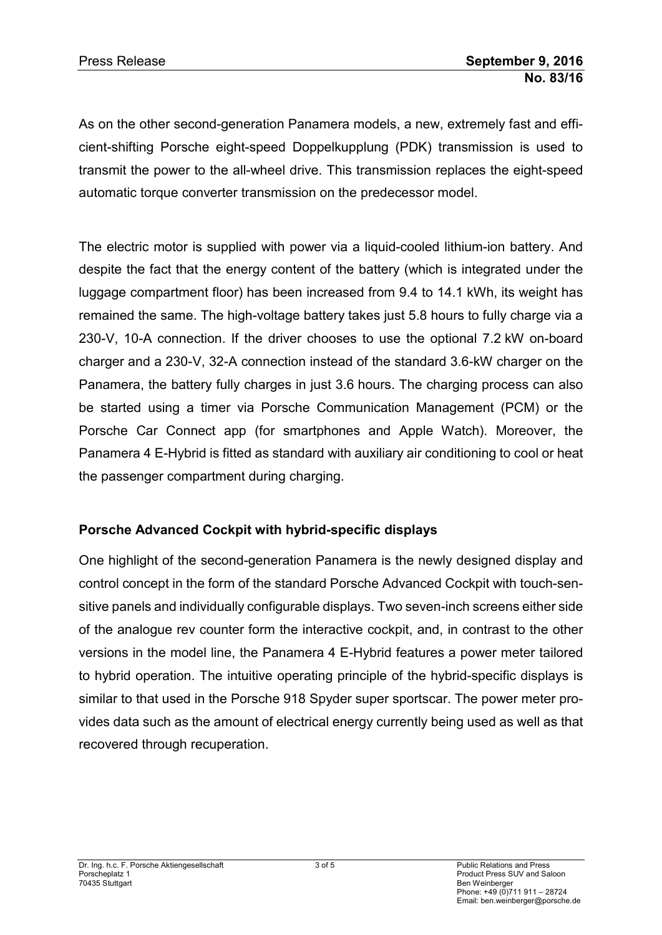As on the other second-generation Panamera models, a new, extremely fast and efficient-shifting Porsche eight-speed Doppelkupplung (PDK) transmission is used to transmit the power to the all-wheel drive. This transmission replaces the eight-speed automatic torque converter transmission on the predecessor model.

The electric motor is supplied with power via a liquid-cooled lithium-ion battery. And despite the fact that the energy content of the battery (which is integrated under the luggage compartment floor) has been increased from 9.4 to 14.1 kWh, its weight has remained the same. The high-voltage battery takes just 5.8 hours to fully charge via a 230-V, 10-A connection. If the driver chooses to use the optional 7.2 kW on-board charger and a 230-V, 32-A connection instead of the standard 3.6-kW charger on the Panamera, the battery fully charges in just 3.6 hours. The charging process can also be started using a timer via Porsche Communication Management (PCM) or the Porsche Car Connect app (for smartphones and Apple Watch). Moreover, the Panamera 4 E-Hybrid is fitted as standard with auxiliary air conditioning to cool or heat the passenger compartment during charging.

## **Porsche Advanced Cockpit with hybrid-specific displays**

One highlight of the second-generation Panamera is the newly designed display and control concept in the form of the standard Porsche Advanced Cockpit with touch-sensitive panels and individually configurable displays. Two seven-inch screens either side of the analogue rev counter form the interactive cockpit, and, in contrast to the other versions in the model line, the Panamera 4 E-Hybrid features a power meter tailored to hybrid operation. The intuitive operating principle of the hybrid-specific displays is similar to that used in the Porsche 918 Spyder super sportscar. The power meter provides data such as the amount of electrical energy currently being used as well as that recovered through recuperation.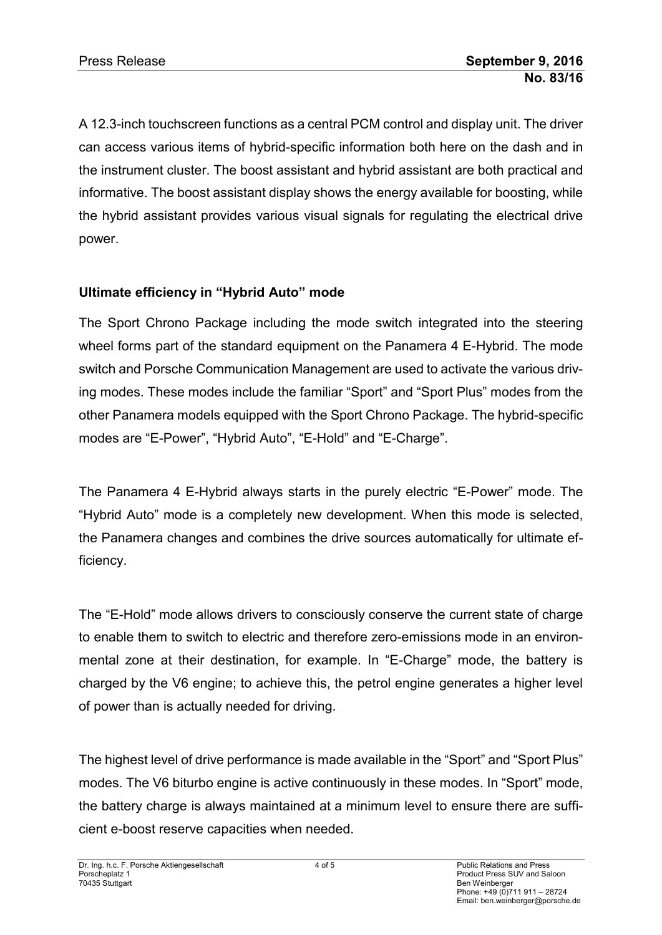A 12.3-inch touchscreen functions as a central PCM control and display unit. The driver can access various items of hybrid-specific information both here on the dash and in the instrument cluster. The boost assistant and hybrid assistant are both practical and informative. The boost assistant display shows the energy available for boosting, while the hybrid assistant provides various visual signals for regulating the electrical drive power.

## **Ultimate efficiency in "Hybrid Auto" mode**

The Sport Chrono Package including the mode switch integrated into the steering wheel forms part of the standard equipment on the Panamera 4 E-Hybrid. The mode switch and Porsche Communication Management are used to activate the various driving modes. These modes include the familiar "Sport" and "Sport Plus" modes from the other Panamera models equipped with the Sport Chrono Package. The hybrid-specific modes are "E-Power", "Hybrid Auto", "E-Hold" and "E-Charge".

The Panamera 4 E-Hybrid always starts in the purely electric "E-Power" mode. The "Hybrid Auto" mode is a completely new development. When this mode is selected, the Panamera changes and combines the drive sources automatically for ultimate efficiency.

The "E-Hold" mode allows drivers to consciously conserve the current state of charge to enable them to switch to electric and therefore zero-emissions mode in an environmental zone at their destination, for example. In "E-Charge" mode, the battery is charged by the V6 engine; to achieve this, the petrol engine generates a higher level of power than is actually needed for driving.

The highest level of drive performance is made available in the "Sport" and "Sport Plus" modes. The V6 biturbo engine is active continuously in these modes. In "Sport" mode, the battery charge is always maintained at a minimum level to ensure there are sufficient e-boost reserve capacities when needed.